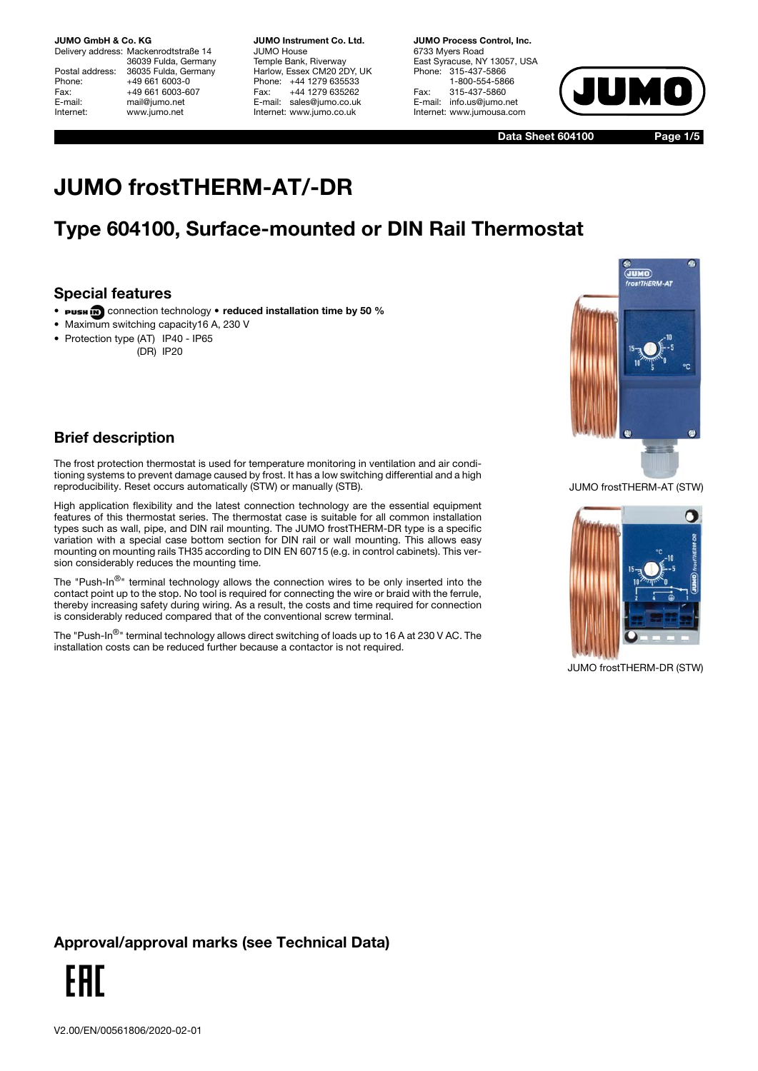Delivery address: Mackenrodtstraße 14 36039 Fulda, Germany Postal address: 36035 Fulda, Germany<br>Phone: +49 661 6003-0 +49 661 6003-0 Fax: +49 661 6003-607<br>E-mail: mail@iumo.net mail@jumo.net Internet: www.jumo.net

**JUMO Instrument Co. Ltd.** JUMO House Temple Bank, Riverway Harlow, Essex CM20 2DY, UK Phone: +44 1279 635533 Fax: +44 1279 635262 E-mail: sales@jumo.co.uk Internet: www.jumo.co.uk

**JUMO Process Control, Inc.** 6733 Myers Road East Syracuse, NY 13057, USA Phone: 315-437-5866 1-800-554-5866 Fax: 315-437-5860 E-mail: info.us@jumo.net Internet: www.jumousa.com



**Data Sheet 604100**

**Page 1/5**

# **JUMO frostTHERM-AT/-DR**

## **Type 604100, Surface-mounted or DIN Rail Thermostat**

#### **Special features**

- **PUSH ID** connection technology reduced installation time by 50 %
- Maximum switching capacity16 A, 230 V
- Protection type (AT) IP40 IP65
	- (DR) IP20



#### **Brief description**

The frost protection thermostat is used for temperature monitoring in ventilation and air conditioning systems to prevent damage caused by frost. It has a low switching differential and a high reproducibility. Reset occurs automatically (STW) or manually (STB).

High application flexibility and the latest connection technology are the essential equipment features of this thermostat series. The thermostat case is suitable for all common installation types such as wall, pipe, and DIN rail mounting. The JUMO frostTHERM-DR type is a specific variation with a special case bottom section for DIN rail or wall mounting. This allows easy mounting on mounting rails TH35 according to DIN EN 60715 (e.g. in control cabinets). This version considerably reduces the mounting time.

The "Push-In $^{\circledR}$ " terminal technology allows the connection wires to be only inserted into the contact point up to the stop. No tool is required for connecting the wire or braid with the ferrule, thereby increasing safety during wiring. As a result, the costs and time required for connection is considerably reduced compared that of the conventional screw terminal.

The "Push-In<sup>®</sup>" terminal technology allows direct switching of loads up to 16 A at 230 V AC. The installation costs can be reduced further because a contactor is not required.





JUMO frostTHERM-DR (STW)

### **Approval/approval marks (see Technical Data)**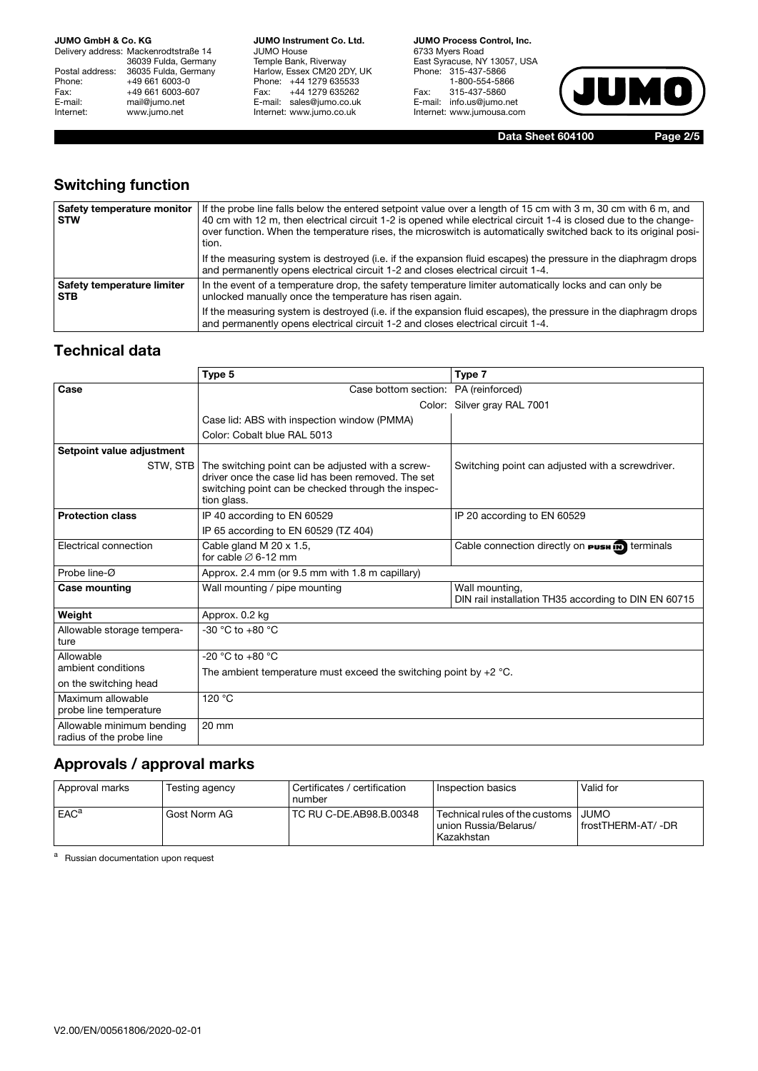Delivery address: Mackenrodtstraße 14 36039 Fulda, Germany Postal address: 36035 Fulda, Germany Phone: +49 661 6003-0<br>Fax: +49 661 6003-60 Fax: +49 661 6003-607<br>E-mail: mail@jumo.net E-mail: mail@jumo.net<br>
Internet: www.iumo.net www.jumo.net

**JUMO Instrument Co. Ltd.** JUMO House Temple Bank, Riverway Harlow, Essex CM20 2DY, UK Phone: +44 1279 635533 Fax: +44 1279 635262 E-mail: sales@jumo.co.uk Internet: www.jumo.co.uk

**JUMO Process Control, Inc.** 6733 Myers Road East Syracuse, NY 13057, USA Phone: 315-437-5866 1-800-554-5866 Fax: 315-437-5860 E-mail: info.us@jumo.net Internet: www.jumousa.com



**Data Sheet 604100 Page 2/5**

### **Switching function**

| Safety temperature monitor<br><b>STW</b> | If the probe line falls below the entered setpoint value over a length of 15 cm with 3 m, 30 cm with 6 m, and<br>40 cm with 12 m, then electrical circuit 1-2 is opened while electrical circuit 1-4 is closed due to the change-<br>over function. When the temperature rises, the microswitch is automatically switched back to its original posi-<br>tion. |  |
|------------------------------------------|---------------------------------------------------------------------------------------------------------------------------------------------------------------------------------------------------------------------------------------------------------------------------------------------------------------------------------------------------------------|--|
|                                          | If the measuring system is destroyed (i.e. if the expansion fluid escapes) the pressure in the diaphragm drops<br>and permanently opens electrical circuit 1-2 and closes electrical circuit 1-4.                                                                                                                                                             |  |
| Safety temperature limiter<br><b>STB</b> | In the event of a temperature drop, the safety temperature limiter automatically locks and can only be<br>unlocked manually once the temperature has risen again.                                                                                                                                                                                             |  |
|                                          | If the measuring system is destroyed (i.e. if the expansion fluid escapes), the pressure in the diaphragm drops<br>and permanently opens electrical circuit 1-2 and closes electrical circuit 1-4.                                                                                                                                                            |  |

#### **Technical data**

|                                                       | Type 5                                                                                                                                                                       | Type 7                                                                 |  |  |
|-------------------------------------------------------|------------------------------------------------------------------------------------------------------------------------------------------------------------------------------|------------------------------------------------------------------------|--|--|
| Case                                                  | Case bottom section: PA (reinforced)                                                                                                                                         |                                                                        |  |  |
|                                                       |                                                                                                                                                                              | Color: Silver gray RAL 7001                                            |  |  |
|                                                       | Case lid: ABS with inspection window (PMMA)                                                                                                                                  |                                                                        |  |  |
|                                                       | Color: Cobalt blue RAL 5013                                                                                                                                                  |                                                                        |  |  |
| Setpoint value adjustment                             |                                                                                                                                                                              |                                                                        |  |  |
| STW. STB                                              | The switching point can be adjusted with a screw-<br>driver once the case lid has been removed. The set<br>switching point can be checked through the inspec-<br>tion glass. | Switching point can adjusted with a screwdriver.                       |  |  |
| <b>Protection class</b>                               | IP 40 according to EN 60529                                                                                                                                                  | IP 20 according to EN 60529                                            |  |  |
|                                                       | IP 65 according to EN 60529 (TZ 404)                                                                                                                                         |                                                                        |  |  |
| Electrical connection                                 | Cable gland M 20 x 1.5,<br>for cable $\varnothing$ 6-12 mm                                                                                                                   | Cable connection directly on <b>PUSH IN</b> terminals                  |  |  |
| Probe line-Ø                                          | Approx. 2.4 mm (or 9.5 mm with 1.8 m capillary)                                                                                                                              |                                                                        |  |  |
| <b>Case mounting</b>                                  | Wall mounting / pipe mounting                                                                                                                                                | Wall mounting,<br>DIN rail installation TH35 according to DIN EN 60715 |  |  |
| Weight                                                | Approx. 0.2 kg                                                                                                                                                               |                                                                        |  |  |
| Allowable storage tempera-<br>ture                    | $-30$ °C to $+80$ °C                                                                                                                                                         |                                                                        |  |  |
| Allowable                                             | $-20$ °C to $+80$ °C                                                                                                                                                         |                                                                        |  |  |
| ambient conditions                                    | The ambient temperature must exceed the switching point by $+2$ °C.                                                                                                          |                                                                        |  |  |
| on the switching head                                 |                                                                                                                                                                              |                                                                        |  |  |
| Maximum allowable<br>probe line temperature           | 120 °C                                                                                                                                                                       |                                                                        |  |  |
| Allowable minimum bending<br>radius of the probe line | $20 \text{ mm}$                                                                                                                                                              |                                                                        |  |  |

#### **Approvals / approval marks**

| Approval marks   | Testing agency | Certificates / certification<br>number | Inspection basics                                                       | Valid for                        |
|------------------|----------------|----------------------------------------|-------------------------------------------------------------------------|----------------------------------|
| EAC <sup>a</sup> | Gost Norm AG   | TC RU C-DE.AB98.B.00348                | Technical rules of the customs  <br>union Russia/Belarus/<br>Kazakhstan | <b>JUMO</b><br>frostTHERM-AT/-DR |

a Russian documentation upon request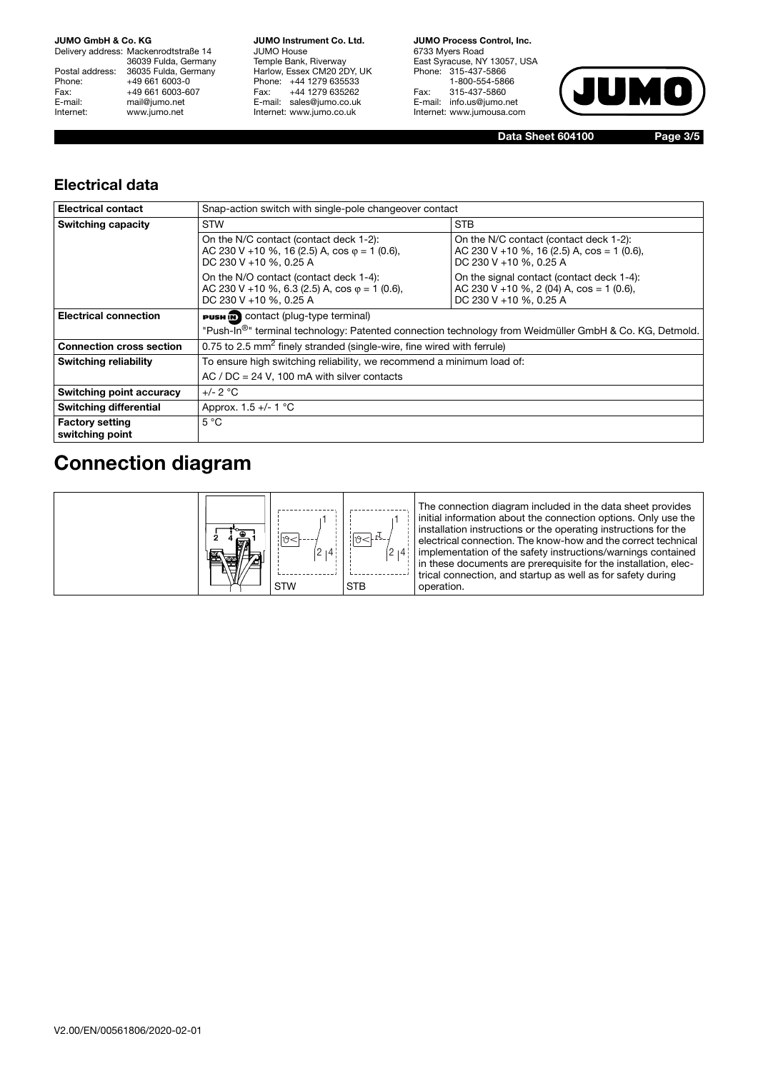Delivery address: Mackenrodtstraße 14 36039 Fulda, Germany Postal address: 36035 Fulda, Germany Phone: +49 661 6003-0<br>Fax: +49 661 6003-60 Fax: +49 661 6003-607<br>E-mail: mail@jumo.net E-mail: mail@jumo.net<br>Internet: www.iumo.net www.jumo.net

**JUMO Instrument Co. Ltd.** JUMO House Temple Bank, Riverway Harlow, Essex CM20 2DY, UK Phone: +44 1279 635533 Fax: +44 1279 635262 E-mail: sales@jumo.co.uk Internet: www.jumo.co.uk

**JUMO Process Control, Inc.** 6733 Myers Road East Syracuse, NY 13057, USA Phone: 315-437-5866 1-800-554-5866 Fax: 315-437-5860 E-mail: info.us@jumo.net Internet: www.jumousa.com



**Data Sheet 604100 Page 3/5**

#### **Electrical data**

| <b>Electrical contact</b>                 | Snap-action switch with single-pole changeover contact                                                                                                                                                                                            |                                                                                                                   |  |  |  |
|-------------------------------------------|---------------------------------------------------------------------------------------------------------------------------------------------------------------------------------------------------------------------------------------------------|-------------------------------------------------------------------------------------------------------------------|--|--|--|
| <b>Switching capacity</b>                 | <b>STW</b>                                                                                                                                                                                                                                        | <b>STB</b>                                                                                                        |  |  |  |
|                                           | On the N/C contact (contact deck 1-2):<br>AC 230 V + 10 %, 16 (2.5) A, $\cos \varphi = 1$ (0.6),<br>DC 230 V +10 %, 0.25 A                                                                                                                        | On the N/C contact (contact deck 1-2):<br>AC 230 V + 10 %, 16 (2.5) A, $cos = 1$ (0.6),<br>DC 230 V +10 %, 0.25 A |  |  |  |
|                                           | On the N/O contact (contact deck 1-4):<br>On the signal contact (contact deck 1-4):<br>AC 230 V + 10 %, 6.3 (2.5) A, $\cos \varphi = 1$ (0.6),<br>AC 230 V + 10 %, 2 (04) A, $cos = 1$ (0.6),<br>DC 230 V +10 %, 0.25 A<br>DC 230 V +10 %, 0.25 A |                                                                                                                   |  |  |  |
| <b>Electrical connection</b>              | <b>PUSH IN</b> contact (plug-type terminal)                                                                                                                                                                                                       |                                                                                                                   |  |  |  |
|                                           | "Push-In <sup>®</sup> " terminal technology: Patented connection technology from Weidmüller GmbH & Co. KG, Detmold.                                                                                                                               |                                                                                                                   |  |  |  |
| <b>Connection cross section</b>           | 0.75 to 2.5 $mm2$ finely stranded (single-wire, fine wired with ferrule)                                                                                                                                                                          |                                                                                                                   |  |  |  |
| Switching reliability                     | To ensure high switching reliability, we recommend a minimum load of:                                                                                                                                                                             |                                                                                                                   |  |  |  |
|                                           | AC / $DC = 24$ V, 100 mA with silver contacts                                                                                                                                                                                                     |                                                                                                                   |  |  |  |
| Switching point accuracy                  | $+/- 2 °C$                                                                                                                                                                                                                                        |                                                                                                                   |  |  |  |
| <b>Switching differential</b>             | Approx. 1.5 +/- 1 °C                                                                                                                                                                                                                              |                                                                                                                   |  |  |  |
| <b>Factory setting</b><br>switching point | $5^{\circ}$ C                                                                                                                                                                                                                                     |                                                                                                                   |  |  |  |

## **Connection diagram**

| 图 |  | $\overline{14}$<br><b>STW</b> | $2 + 4 +$<br><b>STB</b> | The connection diagram included in the data sheet provides<br>initial information about the connection options. Only use the<br>installation instructions or the operating instructions for the<br>electrical connection. The know-how and the correct technical<br>implementation of the safety instructions/warnings contained<br>in these documents are prerequisite for the installation, elec-<br>trical connection, and startup as well as for safety during<br>operation. |
|---|--|-------------------------------|-------------------------|----------------------------------------------------------------------------------------------------------------------------------------------------------------------------------------------------------------------------------------------------------------------------------------------------------------------------------------------------------------------------------------------------------------------------------------------------------------------------------|
|---|--|-------------------------------|-------------------------|----------------------------------------------------------------------------------------------------------------------------------------------------------------------------------------------------------------------------------------------------------------------------------------------------------------------------------------------------------------------------------------------------------------------------------------------------------------------------------|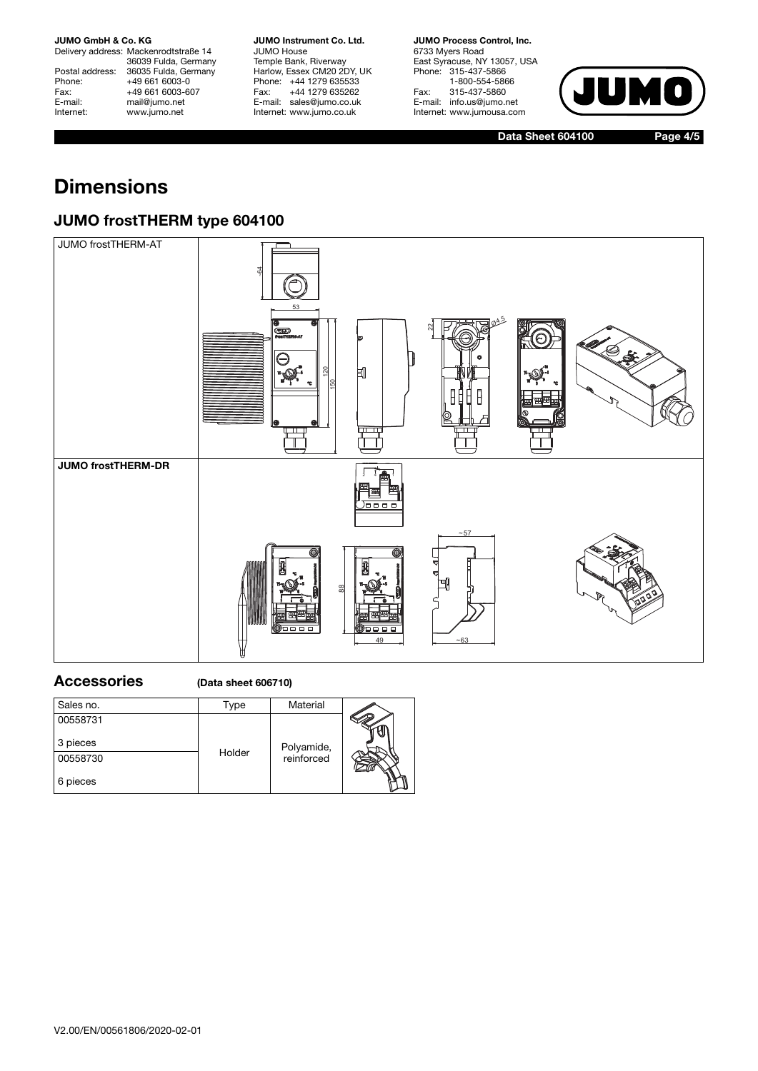Delivery address: Mackenrodtstraße 14 36039 Fulda, Germany Postal address: 36035 Fulda, Germany Phone: +49 661 6003-0<br>Fax: +49 661 6003-6 Fax: +49 661 6003-607<br>E-mail: mail@jumo.net E-mail: mail@jumo.net<br>
Internet: www.iumo.net www.jumo.net

**JUMO Instrument Co. Ltd.** JUMO House Temple Bank, Riverway Harlow, Essex CM20 2DY, UK Phone: +44 1279 635533<br>Fax: +44 1279 635262 +44 1279 635262 E-mail: sales@jumo.co.uk Internet: www.jumo.co.uk

**JUMO Process Control, Inc.** 6733 Myers Road East Syracuse, NY 13057, USA Phone: 315-437-5866 1-800-554-5866 Fax: 315-437-5860 E-mail: info.us@jumo.net Internet: www.jumousa.com



**Data Sheet 604100 Page 4/5**

# **Dimensions**

### **JUMO frostTHERM type 604100**



#### **Accessories (Data sheet 606710)**

| Sales no. | Гуре   | Material   |  |
|-----------|--------|------------|--|
| 00558731  |        |            |  |
| 3 pieces  |        | Polyamide, |  |
| 00558730  | Holder | reinforced |  |
| 6 pieces  |        |            |  |